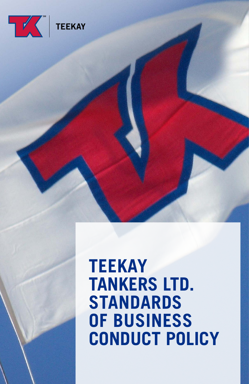

# **TEEKAY TANKERS LTD. STANDARDS OF BUSINESS CONDUCT POLICY**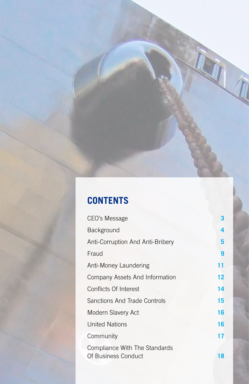# **CONTENTS**

| CEO's Message                    | 3  |
|----------------------------------|----|
| Background                       | 4  |
| Anti-Corruption And Anti-Bribery | 5  |
| Fraud                            | 9  |
| Anti-Money Laundering            | 11 |
| Company Assets And Information   | 12 |
| Conflicts Of Interest            | 14 |
| Sanctions And Trade Controls     | 15 |
| Modern Slavery Act               | 16 |
| <b>United Nations</b>            | 16 |
| Community                        | 17 |
| Compliance With The Standards    |    |
| Of Business Conduct              | 18 |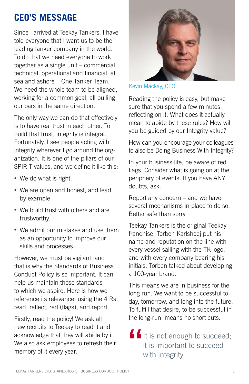# **CEO'S MESSAGE**

Since I arrived at Teekay Tankers, I have told everyone that I want us to be the leading tanker company in the world. To do that we need everyone to work together as a single unit – commercial, technical, operational and financial, at sea and ashore – One Tanker Team. We need the whole team to be aligned. working for a common goal, all pulling our oars in the same direction.

The only way we can do that effectively is to have real trust in each other. To build that trust, integrity is integral. Fortunately, I see people acting with integrity wherever I go around the organization. It is one of the pillars of our SPIRIT values, and we define it like this:

- We do what is right.
- We are open and honest, and lead by example.
- We build trust with others and are trustworthy.
- We admit our mistakes and use them as an opportunity to improve our skills and processes.

However, we must be vigilant, and that is why the Standards of Business Conduct Policy is so important. It can help us maintain those standards to which we aspire. Here is how we reference its relevance, using the 4 Rs: read, reflect, red (flags), and report.

Firstly, read the policy! We ask all new recruits to Teekay to read it and acknowledge that they will abide by it. We also ask employees to refresh their memory of it every year.



Kevin Mackay, CEO

Reading the policy is easy, but make sure that you spend a few minutes reflecting on it. What does it actually mean to abide by these rules? How will you be guided by our Integrity value?

How can you encourage your colleagues to also be Doing Business With Integrity?

In your business life, be aware of red flags. Consider what is going on at the periphery of events. If you have ANY doubts, ask.

Report any concern – and we have several mechanisms in place to do so. Better safe than sorry.

Teekay Tankers is the original Teekay franchise. Torben Karlshoej put his name and reputation on the line with every vessel sailing with the TK logo, and with every company bearing his initials. Torben talked about developing a 100-year brand.

This means we are in business for the long run. We want to be successful today, tomorrow, and long into the future. To fulfill that desire, to be successful in the long-run, means no short cuts.

It is not enough to succeed; it is important to succeed **"** with integrity.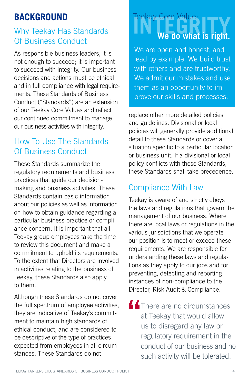# **BACKGROUND**

#### Why Teekay Has Standards Of Business Conduct

As responsible business leaders, it is not enough to succeed; it is important to succeed with integrity. Our business decisions and actions must be ethical and in full compliance with legal requirements. These Standards of Business Conduct ("Standards") are an extension of our Teekay Core Values and reflect our continued commitment to manage our business activities with integrity.

## How To Use The Standards Of Business Conduct

These Standards summarize the regulatory requirements and business practices that guide our decisionmaking and business activities. These Standards contain basic information about our policies as well as information on how to obtain guidance regarding a particular business practice or compliance concern. It is important that all Teekay group employees take the time to review this document and make a commitment to uphold its requirements. To the extent that Directors are involved in activities relating to the business of Teekay, these Standards also apply to them.

Although these Standards do not cover the full spectrum of employee activities, they are indicative of Teekay's commitment to maintain high standards of ethical conduct, and are considered to be descriptive of the type of practices expected from employees in all circumstances. These Standards do not

# Teekay Core Value:<br>
We do what is right.

We are open and honest, and lead by example. We build trust with others and are trustworthy. We admit our mistakes and use them as an opportunity to improve our skills and processes.

replace other more detailed policies and guidelines. Divisional or local policies will generally provide additional detail to these Standards or cover a situation specific to a particular location or business unit. If a divisional or local policy conflicts with these Standards, these Standards shall take precedence.

#### Compliance With Law

Teekay is aware of and strictly obeys the laws and regulations that govern the management of our business. Where there are local laws or regulations in the various jurisdictions that we operate – our position is to meet or exceed these requirements. We are responsible for understanding these laws and regulations as they apply to our jobs and for preventing, detecting and reporting instances of non-compliance to the Director, Risk Audit & Compliance.

**44** There are no circumstances at Teekay that would allow us to disregard any law or regulatory requirement in the conduct of our business and no such activity will be tolerated.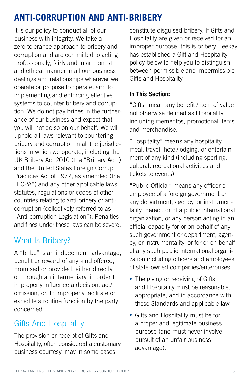# **ANTI-CORRUPTION AND ANTI-BRIBERY**

It is our policy to conduct all of our business with integrity. We take a zero-tolerance approach to bribery and corruption and are committed to acting professionally, fairly and in an honest and ethical manner in all our business dealings and relationships wherever we operate or propose to operate, and to implementing and enforcing effective systems to counter bribery and corruption. We do not pay bribes in the furtherance of our business and expect that you will not do so on our behalf. We will uphold all laws relevant to countering bribery and corruption in all the jurisdictions in which we operate, including the UK Bribery Act 2010 (the "Bribery Act") and the United States Foreign Corrupt Practices Act of 1977, as amended (the "FCPA") and any other applicable laws, statutes, regulations or codes of other countries relating to anti-bribery or anticorruption (collectively referred to as "Anti-corruption Legislation"). Penalties and fines under these laws can be severe.

#### What Is Bribery?

A "bribe" is an inducement, advantage, benefit or reward of any kind offered, promised or provided, either directly or through an intermediary, in order to improperly influence a decision, act/ omission, or, to improperly facilitate or expedite a routine function by the party concerned.

## Gifts And Hospitality

The provision or receipt of Gifts and Hospitality, often considered a customary business courtesy, may in some cases

constitute disguised bribery. If Gifts and Hospitality are given or received for an improper purpose, this is bribery. Teekay has established a Gift and Hospitality policy below to help you to distinguish between permissible and impermissible Gifts and Hospitality.

#### **In This Section:**

"Gifts" mean any benefit / item of value not otherwise defined as Hospitality including mementos, promotional items and merchandise.

"Hospitality" means any hospitality, meal, travel, hotel/lodging, or entertainment of any kind (including sporting, cultural, recreational activities and tickets to events).

"Public Official" means any officer or employee of a foreign government or any department, agency, or instrumentality thereof, or of a public international organization, or any person acting in an official capacity for or on behalf of any such government or department, agency, or instrumentality, or for or on behalf of any such public international organization including officers and employees of state-owned companies/enterprises.

- The giving or receiving of Gifts and Hospitality must be reasonable, appropriate, and in accordance with these Standards and applicable law.
- Gifts and Hospitality must be for a proper and legitimate business purpose (and must never involve pursuit of an unfair business advantage).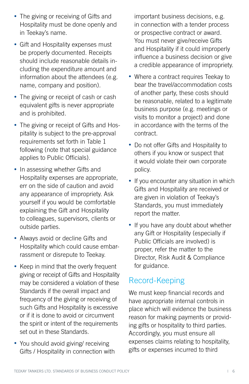- The giving or receiving of Gifts and Hospitality must be done openly and in Teekay's name.
- Gift and Hospitality expenses must be properly documented. Receipts should include reasonable details including the expenditure amount and information about the attendees (e.g. name, company and position).
- The giving or receipt of cash or cash equivalent gifts is never appropriate and is prohibited.
- The giving or receipt of Gifts and Hospitality is subject to the pre-approval requirements set forth in Table 1 following (note that special guidance applies to Public Officials).
- In assessing whether Gifts and Hospitality expenses are appropriate, err on the side of caution and avoid any appearance of impropriety. Ask yourself if you would be comfortable explaining the Gift and Hospitality to colleagues, supervisors, clients or outside parties.
- Always avoid or decline Gifts and Hospitality which could cause embarrassment or disrepute to Teekay.
- Keep in mind that the overly frequent giving or receipt of Gifts and Hospitality may be considered a violation of these Standards if the overall impact and frequency of the giving or receiving of such Gifts and Hospitality is excessive or if it is done to avoid or circumvent the spirit or intent of the requirements set out in these Standards.
- You should avoid giving/ receiving Gifts / Hospitality in connection with

important business decisions, e.g. in connection with a tender process or prospective contract or award. You must never give/receive Gifts and Hospitality if it could improperly influence a business decision or give a credible appearance of impropriety.

- Where a contract requires Teekay to bear the travel/accommodation costs of another party, these costs should be reasonable, related to a legitimate business purpose (e.g. meetings or visits to monitor a project) and done in accordance with the terms of the contract.
- Do not offer Gifts and Hospitality to others if you know or suspect that it would violate their own corporate policy.
- If you encounter any situation in which Gifts and Hospitality are received or are given in violation of Teekay's Standards, you must immediately report the matter.
- If you have any doubt about whether any Gift or Hospitality (especially if Public Officials are involved) is proper, refer the matter to the Director, Risk Audit & Compliance for guidance.

#### Record-Keeping

We must keep financial records and have appropriate internal controls in place which will evidence the business reason for making payments or providing gifts or hospitality to third parties. Accordingly, you must ensure all expenses claims relating to hospitality, gifts or expenses incurred to third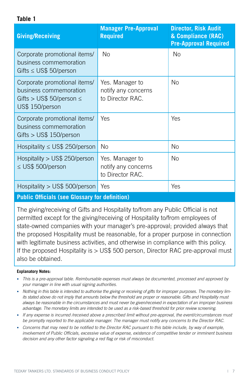**Table 1**

| <b>Giving/Receiving</b>                                                                                    | <b>Manager Pre-Approval</b><br><b>Required</b>             | <b>Director, Risk Audit</b><br>& Compliance (RAC)<br><b>Pre-Approval Required</b> |
|------------------------------------------------------------------------------------------------------------|------------------------------------------------------------|-----------------------------------------------------------------------------------|
| Corporate promotional items/<br>business commemoration<br>Gifts $\leq$ US\$ 50/person                      | No                                                         | <b>No</b>                                                                         |
| Corporate promotional items/<br>business commemoration<br>Gifts > US\$ 50/person $\leq$<br>US\$ 150/person | Yes. Manager to<br>notify any concerns<br>to Director RAC. | <b>No</b>                                                                         |
| Corporate promotional items/<br>business commemoration<br>Gifts $>$ US\$ 150/person                        | <b>Yes</b>                                                 | Yes                                                                               |
| Hospitality $\leq$ US\$ 250/person                                                                         | <b>No</b>                                                  | <b>No</b>                                                                         |
| Hospitality > US\$ 250/person<br>≤ US\$ 500/person                                                         | Yes. Manager to<br>notify any concerns<br>to Director RAC. | No                                                                                |
| Hospitality > US\$ 500/person                                                                              | Yes                                                        | Yes                                                                               |
| <b>Public Officials (see Glossary for definition)</b>                                                      |                                                            |                                                                                   |

The giving/receiving of Gifts and Hospitality to/from any Public Official is not permitted except for the giving/receiving of Hospitality to/from employees of state-owned companies with your manager's pre-approval; provided always that the proposed Hospitality must be reasonable, for a proper purpose in connection with legitimate business activities, and otherwise in compliance with this policy. If the proposed Hospitality is > US\$ 500 person, Director RAC pre-approval must also be obtained.

#### **Explanatory Notes:**

- *This is a pre-approval table. Reimbursable expenses must always be documented, processed and approved by your manager in line with usual signing authorities.*
- *Nothing in this table is intended to authorise the giving or receiving of gifts for improper purposes. The monetary lim*its stated above do not imply that amounts below the threshold are proper or reasonable. Gifts and Hospitality must *always be reasonable in the circumstances and must never be given/received in expectation of an improper business advantage. The monetary limits are intended to be used as a risk-based threshold for prior review screening.*
- *If any expense is incurred /received above a prescribed limit without pre-approval, the event/circumstances must be promptly reported to the applicable manager. The manager must notify any concerns to the Director RAC.*
- *Concerns that may need to be notified to the Director RAC pursuant to this table include, by way of example, involvement of Public Officials, excessive value of expense, existence of competitive tender or imminent business decision and any other factor signaling a red flag or risk of misconduct.*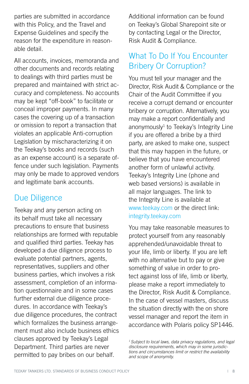parties are submitted in accordance with this Policy, and the Travel and Expense Guidelines and specify the reason for the expenditure in reasonable detail.

All accounts, invoices, memoranda and other documents and records relating to dealings with third parties must be prepared and maintained with strict accuracy and completeness. No accounts may be kept "off-book" to facilitate or conceal improper payments. In many cases the covering up of a transaction or omission to report a transaction that violates an applicable Anti-corruption Legislation by mischaracterizing it on the Teekay's books and records (such as an expense account) is a separate offence under such legislation. Payments may only be made to approved vendors and legitimate bank accounts.

#### Due Diligence

Teekay and any person acting on its behalf must take all necessary precautions to ensure that business relationships are formed with reputable and qualified third parties. Teekay has developed a due diligence process to evaluate potential partners, agents, representatives, suppliers and other business parties, which involves a risk assessment, completion of an information questionnaire and in some cases further external due diligence procedures. In accordance with Teekay's due diligence procedures, the contract which formalizes the business arrangement must also include business ethics clauses approved by Teekay's Legal Department. Third parties are never permitted to pay bribes on our behalf.

Additional information can be found on Teekay's Global Sharepoint site or by contacting Legal or the Director, Risk Audit & Compliance.

#### What To Do If You Encounter Bribery Or Corruption?

You must tell your manager and the Director, Risk Audit & Compliance or the Chair of the Audit Committee if you receive a corrupt demand or encounter bribery or corruption. Alternatively, you may make a report confidentially and anonymously<sup>1</sup> to Teekay's Integrity Line if you are offered a bribe by a third party, are asked to make one, suspect that this may happen in the future, or believe that you have encountered another form of unlawful activity. Teekay's Integrity Line (phone and web based versions) is available in all major languages. The link to the Integrity Line is available at [www.teekay.com](http://www.teekay.com) or the direct link: [integrity.teekay.com](http://integrity.teekay.com)

You may take reasonable measures to protect yourself from any reasonably apprehended/unavoidable threat to your life, limb or liberty. If you are left with no alternative but to pay or give something of value in order to protect against loss of life, limb or liberty, please make a report immediately to the Director, Risk Audit & Compliance. In the case of vessel masters, discuss the situation directly with the on shore vessel manager and report the item in accordance with Polaris policy SP1446.

*1 Subject to local laws, data privacy regulations, and legal disclosure requirements, which may in some jurisdictions and circumstances limit or restrict the availability and scope of anonymity.*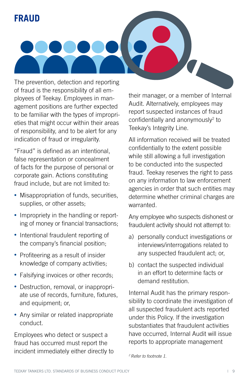# **FRAUD**



The prevention, detection and reporting of fraud is the responsibility of all employees of Teekay. Employees in management positions are further expected to be familiar with the types of improprieties that might occur within their areas of responsibility, and to be alert for any indication of fraud or irregularity.

"Fraud" is defined as an intentional, false representation or concealment of facts for the purpose of personal or corporate gain. Actions constituting fraud include, but are not limited to:

- Misappropriation of funds, securities, supplies, or other assets;
- Impropriety in the handling or reporting of money or financial transactions;
- Intentional fraudulent reporting of the company's financial position;
- Profiteering as a result of insider knowledge of company activities;
- Falsifying invoices or other records;
- Destruction, removal, or inappropriate use of records, furniture, fixtures, and equipment; or,
- Any similar or related inappropriate conduct.

Employees who detect or suspect a fraud has occurred must report the incident immediately either directly to their manager, or a member of Internal Audit. Alternatively, employees may report suspected instances of fraud confidentially and anonymously<sup>2</sup> to Teekay's Integrity Line.

All information received will be treated confidentially to the extent possible while still allowing a full investigation to be conducted into the suspected fraud. Teekay reserves the right to pass on any information to law enforcement agencies in order that such entities may determine whether criminal charges are warranted.

Any employee who suspects dishonest or fraudulent activity should not attempt to:

- a) personally conduct investigations or interviews/interrogations related to any suspected fraudulent act; or,
- b) contact the suspected individual in an effort to determine facts or demand restitution.

Internal Audit has the primary responsibility to coordinate the investigation of all suspected fraudulent acts reported under this Policy. If the investigation substantiates that fraudulent activities have occurred, Internal Audit will issue reports to appropriate management

*<sup>2</sup> Refer to footnote 1.*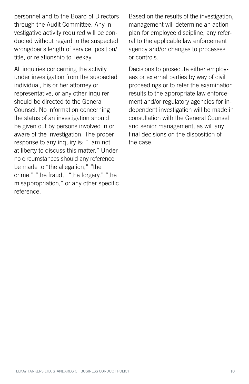personnel and to the Board of Directors through the Audit Committee. Any investigative activity required will be conducted without regard to the suspected wrongdoer's length of service, position/ title, or relationship to Teekay.

All inquiries concerning the activity under investigation from the suspected individual, his or her attorney or representative, or any other inquirer should be directed to the General Counsel. No information concerning the status of an investigation should be given out by persons involved in or aware of the investigation. The proper response to any inquiry is: "I am not at liberty to discuss this matter." Under no circumstances should any reference be made to "the allegation," "the crime," "the fraud," "the forgery," "the misappropriation," or any other specific reference.

Based on the results of the investigation, management will determine an action plan for employee discipline, any referral to the applicable law enforcement agency and/or changes to processes or controls.

Decisions to prosecute either employees or external parties by way of civil proceedings or to refer the examination results to the appropriate law enforcement and/or regulatory agencies for independent investigation will be made in consultation with the General Counsel and senior management, as will any final decisions on the disposition of the case.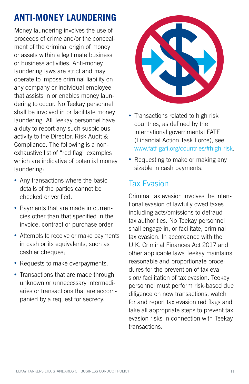# **ANTI-MONEY LAUNDERING**

Money laundering involves the use of proceeds of crime and/or the concealment of the criminal origin of money or assets within a legitimate business or business activities. Anti-money laundering laws are strict and may operate to impose criminal liability on any company or individual employee that assists in or enables money laundering to occur. No Teekay personnel shall be involved in or facilitate money laundering. All Teekay personnel have a duty to report any such suspicious activity to the Director, Risk Audit & Compliance. The following is a nonexhaustive list of "red flag" examples which are indicative of potential money laundering:

- Any transactions where the basic details of the parties cannot be checked or verified.
- Payments that are made in currencies other than that specified in the invoice, contract or purchase order.
- Attempts to receive or make payments in cash or its equivalents, such as cashier cheques;
- Requests to make overpayments.
- Transactions that are made through unknown or unnecessary intermediaries or transactions that are accompanied by a request for secrecy.



- Transactions related to high risk countries, as defined by the international governmental FATF (Financial Action Task Force), see [www.fatf-gafi.org/countries/#high-risk](http://www.fatf-gafi.org/countries/#high-risk).
- Requesting to make or making any sizable in cash payments.

#### Tax Evasion

Criminal tax evasion involves the intentional evasion of lawfully owed taxes including acts/omissions to defraud tax authorities. No Teekay personnel shall engage in, or facilitate, criminal tax evasion. In accordance with the U.K. Criminal Finances Act 2017 and other applicable laws Teekay maintains reasonable and proportionate procedures for the prevention of tax evasion/ facilitation of tax evasion. Teekay personnel must perform risk-based due diligence on new transactions, watch for and report tax evasion red flags and take all appropriate steps to prevent tax evasion risks in connection with Teekay transactions.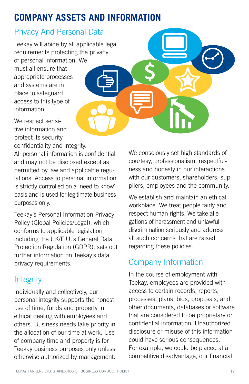# **COMPANY ASSETS AND INFORMATION**

#### Privacy And Personal Data

Teekay will abide by all applicable legal requirements protecting the privacy of personal information. We must all ensure that appropriate processes and systems are in place to safeguard access to this type of information.

We respect sensitive information and protect its security,

confidentiality and integrity.

All personal information is confidential and may not be disclosed except as permitted by law and applicable regulations. Access to personal information is strictly controlled on a 'need to know' basis and is used for legitimate business purposes only.

Teekay's Personal Information Privacy Policy (Global Policies/Legal), which conforms to applicable legislation including the UK/E.U.'s General Data Protection Regulation (GDPR), sets out further information on Teekay's data privacy requirements.

# **Integrity**

Individually and collectively, our personal integrity supports the honest use of time, funds and property in ethical dealing with employees and others. Business needs take priority in the allocation of our time at work. Use of company time and property is for Teekay business purposes only unless otherwise authorized by management.

We consciously set high standards of courtesy, professionalism, respectfulness and honesty in our interactions with our customers, shareholders, suppliers, employees and the community.

\$

We establish and maintain an ethical workplace. We treat people fairly and respect human rights. We take allegations of harassment and unlawful discrimination seriously and address all such concerns that are raised regarding these policies.

#### Company Information

In the course of employment with Teekay, employees are provided with access to certain records, reports, processes, plans, bids, proposals, and other documents, databases or software that are considered to be proprietary or confidential information. Unauthorized disclosure or misuse of this information could have serious consequences. For example, we could be placed at a competitive disadvantage, our financial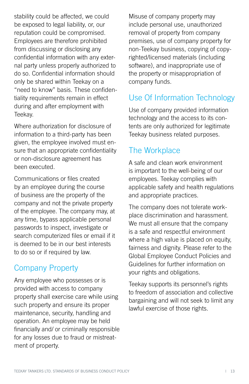stability could be affected, we could be exposed to legal liability, or, our reputation could be compromised. Employees are therefore prohibited from discussing or disclosing any confidential information with any external party unless properly authorized to do so. Confidential information should only be shared within Teekay on a "need to know" basis. These confidentiality requirements remain in effect during and after employment with Teekay.

Where authorization for disclosure of information to a third-party has been given, the employee involved must ensure that an appropriate confidentiality or non-disclosure agreement has been executed.

Communications or files created by an employee during the course of business are the property of the company and not the private property of the employee. The company may, at any time, bypass applicable personal passwords to inspect, investigate or search computerized files or email if it is deemed to be in our best interests to do so or if required by law.

#### Company Property

Any employee who possesses or is provided with access to company property shall exercise care while using such property and ensure its proper maintenance, security, handling and operation. An employee may be held financially and/ or criminally responsible for any losses due to fraud or mistreatment of property.

Misuse of company property may include personal use, unauthorized removal of property from company premises, use of company property for non-Teekay business, copying of copyrighted/licensed materials (including software), and inappropriate use of the property or misappropriation of company funds.

#### Use Of Information Technology

Use of company provided information technology and the access to its contents are only authorized for legitimate Teekay business related purposes.

#### The Workplace

A safe and clean work environment is important to the well-being of our employees. Teekay complies with applicable safety and health regulations and appropriate practices.

The company does not tolerate workplace discrimination and harassment. We must all ensure that the company is a safe and respectful environment where a high value is placed on equity, fairness and dignity. Please refer to the Global Employee Conduct Policies and Guidelines for further information on your rights and obligations.

Teekay supports its personnel's rights to freedom of association and collective bargaining and will not seek to limit any lawful exercise of those rights.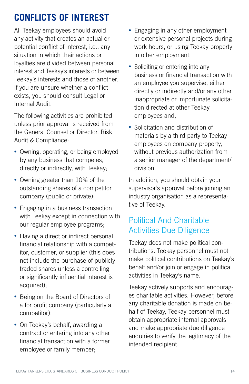# **CONFLICTS OF INTEREST**

All Teekay employees should avoid any activity that creates an actual or potential conflict of interest, i.e., any situation in which their actions or loyalties are divided between personal interest and Teekay's interests or between Teekay's interests and those of another. If you are unsure whether a conflict exists, you should consult Legal or Internal Audit.

The following activities are prohibited unless prior approval is received from the General Counsel or Director, Risk Audit & Compliance:

- Owning, operating, or being employed by any business that competes, directly or indirectly, with Teekay;
- Owning greater than 10% of the outstanding shares of a competitor company (public or private);
- Engaging in a business transaction with Teekay except in connection with our regular employee programs;
- Having a direct or indirect personal financial relationship with a competitor, customer, or supplier (this does not include the purchase of publicly traded shares unless a controlling or significantly influential interest is acquired);
- Being on the Board of Directors of a for profit company (particularly a competitor);
- On Teekay's behalf, awarding a contract or entering into any other financial transaction with a former employee or family member;
- Engaging in any other employment or extensive personal projects during work hours, or using Teekay property in other employment;
- Soliciting or entering into any business or financial transaction with an employee you supervise, either directly or indirectly and/or any other inappropriate or importunate solicitation directed at other Teekay employees and,
- Solicitation and distribution of materials by a third party to Teekay employees on company property, without previous authorization from a senior manager of the department/ division.

In addition, you should obtain your supervisor's approval before joining an industry organisation as a representative of Teekay.

#### Political And Charitable Activities Due Diligence

Teekay does not make political contributions. Teekay personnel must not make political contributions on Teekay's behalf and/or join or engage in political activities in Teekay's name.

Teekay actively supports and encourages charitable activities. However, before any charitable donation is made on behalf of Teekay, Teekay personnel must obtain appropriate internal approvals and make appropriate due diligence enquiries to verify the legitimacy of the intended recipient.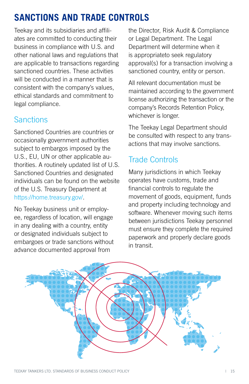# **SANCTIONS AND TRADE CONTROLS**

Teekay and its subsidiaries and affiliates are committed to conducting their business in compliance with U.S. and other national laws and regulations that are applicable to transactions regarding sanctioned countries. These activities will be conducted in a manner that is consistent with the company's values, ethical standards and commitment to legal compliance.

#### **Sanctions**

Sanctioned Countries are countries or occasionally government authorities subject to embargos imposed by the U.S., EU, UN or other applicable authorities. A routinely updated list of U.S. Sanctioned Countries and designated individuals can be found on the website of the U.S. Treasury Department at [https://home.treasury.gov/.](https://home.treasury.gov/)

No Teekay business unit or employee, regardless of location, will engage in any dealing with a country, entity or designated individuals subject to embargoes or trade sanctions without advance documented approval from

the Director, Risk Audit & Compliance or Legal Department. The Legal Department will determine when it is appropriateto seek regulatory approval(s) for a transaction involving a sanctioned country, entity or person.

All relevant documentation must be maintained according to the government license authorizing the transaction or the company's Records Retention Policy, whichever is longer.

The Teekay Legal Department should be consulted with respect to any transactions that may involve sanctions.

#### Trade Controls

Many jurisdictions in which Teekay operates have customs, trade and financial controls to regulate the movement of goods, equipment, funds and property including technology and software. Whenever moving such items between jurisdictions Teekay personnel must ensure they complete the required paperwork and properly declare goods in transit.

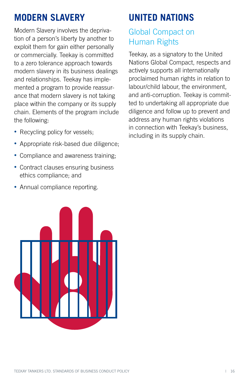# **MODERN SLAVERY**

Modern Slavery involves the deprivation of a person's liberty by another to exploit them for gain either personally or commercially. Teekay is committed to a zero tolerance approach towards modern slavery in its business dealings and relationships. Teekay has implemented a program to provide reassurance that modern slavery is not taking place within the company or its supply chain. Elements of the program include the following:

- Recycling policy for vessels;
- Appropriate risk-based due diligence;
- Compliance and awareness training;
- Contract clauses ensuring business ethics compliance; and
- Annual compliance reporting.



# **UNITED NATIONS**

#### Global Compact on Human Rights

Teekay, as a signatory to the United Nations Global Compact, respects and actively supports all internationally proclaimed human rights in relation to labour/child labour, the environment, and anti-corruption. Teekay is committed to undertaking all appropriate due diligence and follow up to prevent and address any human rights violations in connection with Teekay's business, including in its supply chain.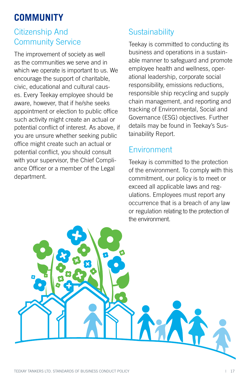# **COMMUNITY**

#### Citizenship And Community Service

The improvement of society as well as the communities we serve and in which we operate is important to us. We encourage the support of charitable, civic, educational and cultural causes. Every Teekay employee should be aware, however, that if he/she seeks appointment or election to public office such activity might create an actual or potential conflict of interest. As above, if you are unsure whether seeking public office might create such an actual or potential conflict, you should consult with your supervisor, the Chief Compliance Officer or a member of the Legal department.

# **Sustainability**

Teekay is committed to conducting its business and operations in a sustainable manner to safeguard and promote employee health and wellness, operational leadership, corporate social responsibility, emissions reductions, responsible ship recycling and supply chain management, and reporting and tracking of Environmental, Social and Governance (ESG) objectives. Further details may be found in Teekay's Sustainability Report.

#### Environment

Teekay is committed to the protection of the environment. To comply with this commitment, our policy is to meet or exceed all applicable laws and regulations. Employees must report any occurrence that is a breach of any law or regulation relating to the protection of the environment.

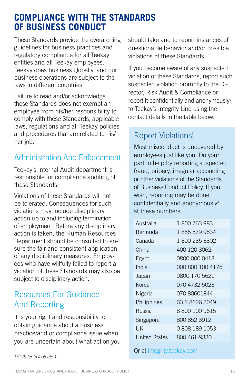#### **COMPLIANCE WITH THE STANDARDS OF BUSINESS CONDUCT**

These Standards provide the overarching guidelines for business practices and regulatory compliance for all Teekay entities and all Teekay employees. Teekay does business globally, and our business operations are subject to the laws in different countries.

Failure to read and/or acknowledge these Standards does not exempt an employee from his/her responsibility to comply with these Standards, applicable laws, regulations and all Teekay policies and procedures that are related to his/ her job.

#### Administration And Enforcement

Teekay's Internal Audit department is responsible for compliance auditing of these Standards.

Violations of these Standards will not be tolerated. Consequences for such violations may include disciplinary action up to and including termination of employment. Before any disciplinary action is taken, the Human Resources Department should be consulted to ensure the fair and consistent application of any disciplinary measures. Employees who have willfully failed to report a violation of these Standards may also be subject to disciplinary action.

#### Resources For Guidance And Reporting

It is your right and responsibility to obtain guidance about a business practice/and or compliance issue when you are uncertain about what action you should take and to report instances of questionable behavior and/or possible violations of these Standards.

If you become aware of any suspected violation of these Standards, report such suspected violation promptly to the Director, Risk Audit & Compliance or report it confidentially and anonymously<sup>3</sup> to Teekay's Integrity Line using the contact details in the table below.

#### Report Violations!

Most misconduct is uncovered by employees just like you. Do your part to help by reporting suspected fraud, bribery, irregular accounting or other violations of the Standards of Business Conduct Policy. If you wish, reporting may be done confidentially and anonymously4 at these numbers.

| Australia            | 1 800 763 983    |
|----------------------|------------------|
| Bermuda              | 1855 579 9534    |
| Canada               | 1800 235 6302    |
| China                | 400 120 3062     |
| Egypt                | 0800 000 0413    |
| India                | 000 800 100 4175 |
| Japan                | 0800 170 5621    |
| Korea                | 070 4732 5023    |
| Nigeria              | 07080601844      |
| Philippines          | 63 2 8626 3049   |
| Russia               | 88001009615      |
| Singapore            | 800 852 3912     |
| UΚ                   | 08081891053      |
| <b>United States</b> | 800 461-9330     |

Or at [integrity.teekay.com](http://integrity.teekay.com)

*<sup>3, 4, 5</sup> Refer to footnote 1.*